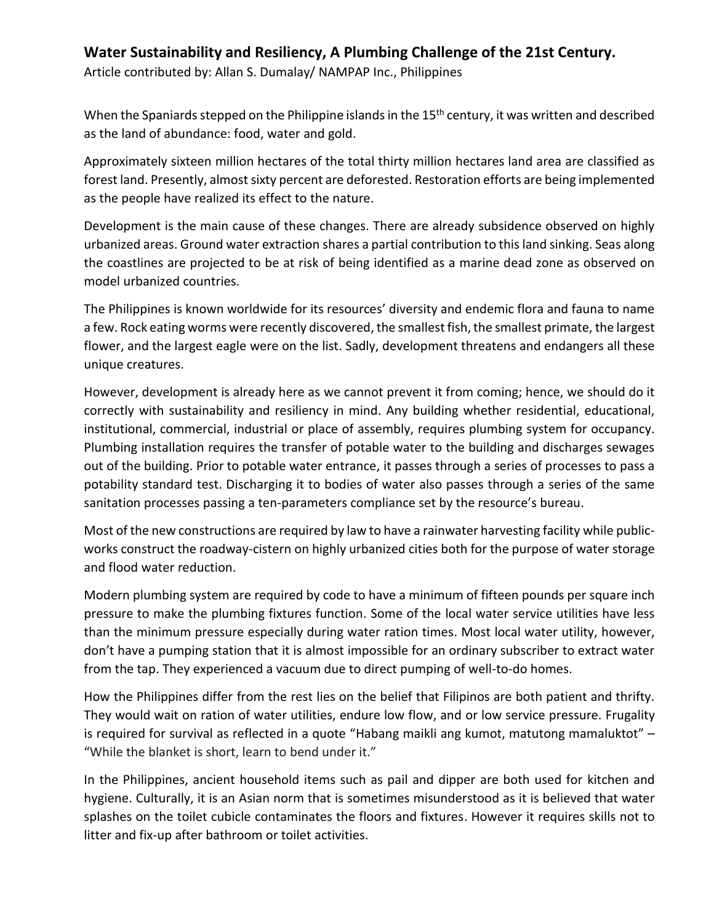## **Water Sustainability and Resiliency, A Plumbing Challenge of the 21st Century.**

Article contributed by: Allan S. Dumalay/ NAMPAP Inc., Philippines

When the Spaniards stepped on the Philippine islands in the 15<sup>th</sup> century, it was written and described as the land of abundance: food, water and gold.

Approximately sixteen million hectares of the total thirty million hectares land area are classified as forest land. Presently, almost sixty percent are deforested. Restoration efforts are being implemented as the people have realized its effect to the nature.

Development is the main cause of these changes. There are already subsidence observed on highly urbanized areas. Ground water extraction shares a partial contribution to this land sinking. Seas along the coastlines are projected to be at risk of being identified as a marine dead zone as observed on model urbanized countries.

The Philippines is known worldwide for its resources' diversity and endemic flora and fauna to name a few. Rock eating worms were recently discovered, the smallest fish, the smallest primate, the largest flower, and the largest eagle were on the list. Sadly, development threatens and endangers all these unique creatures.

However, development is already here as we cannot prevent it from coming; hence, we should do it correctly with sustainability and resiliency in mind. Any building whether residential, educational, institutional, commercial, industrial or place of assembly, requires plumbing system for occupancy. Plumbing installation requires the transfer of potable water to the building and discharges sewages out of the building. Prior to potable water entrance, it passes through a series of processes to pass a potability standard test. Discharging it to bodies of water also passes through a series of the same sanitation processes passing a ten-parameters compliance set by the resource's bureau.

Most of the new constructions are required by law to have a rainwater harvesting facility while publicworks construct the roadway-cistern on highly urbanized cities both for the purpose of water storage and flood water reduction.

Modern plumbing system are required by code to have a minimum of fifteen pounds per square inch pressure to make the plumbing fixtures function. Some of the local water service utilities have less than the minimum pressure especially during water ration times. Most local water utility, however, don't have a pumping station that it is almost impossible for an ordinary subscriber to extract water from the tap. They experienced a vacuum due to direct pumping of well-to-do homes.

How the Philippines differ from the rest lies on the belief that Filipinos are both patient and thrifty. They would wait on ration of water utilities, endure low flow, and or low service pressure. Frugality is required for survival as reflected in a quote "Habang maikli ang kumot, matutong mamaluktot" – "While the blanket is short, learn to bend under it."

In the Philippines, ancient household items such as pail and dipper are both used for kitchen and hygiene. Culturally, it is an Asian norm that is sometimes misunderstood as it is believed that water splashes on the toilet cubicle contaminates the floors and fixtures. However it requires skills not to litter and fix-up after bathroom or toilet activities.